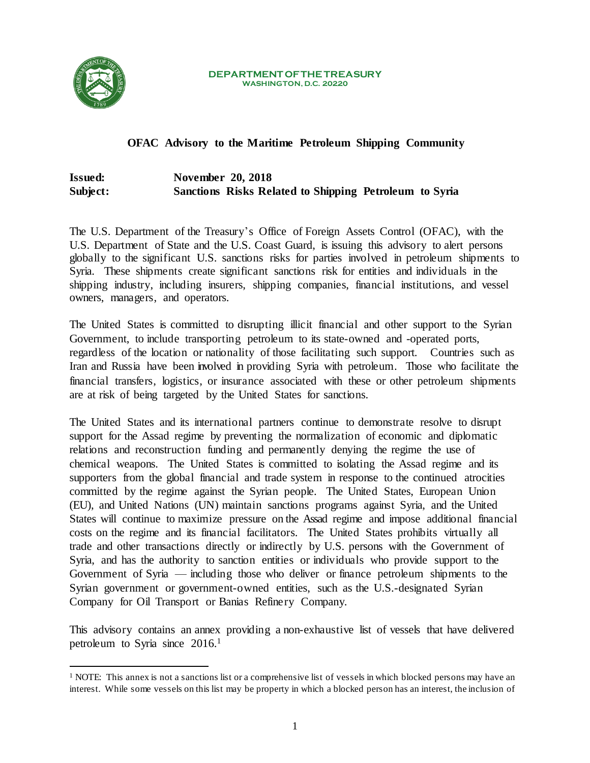

 $\overline{\phantom{a}}$ 

#### **DEPARTMENT OF THE TREASURY WASHINGTON, D.C. 20220**

# **OFAC Advisory to the Maritime Petroleum Shipping Community**

# **Issued: November 20, 2018 Subject: Sanctions Risks Related to Shipping Petroleum to Syria**

The U.S. Department of the Treasury's Office of Foreign Assets Control (OFAC), with the U.S. Department of State and the U.S. Coast Guard, is issuing this advisory to alert persons globally to the significant U.S. sanctions risks for parties involved in petroleum shipments to Syria. These shipments create significant sanctions risk for entities and individuals in the shipping industry, including insurers, shipping companies, financial institutions, and vessel owners, managers, and operators.

The United States is committed to disrupting illicit financial and other support to the Syrian Government, to include transporting petroleum to its state-owned and -operated ports, regardless of the location or nationality of those facilitating such support. Countries such as Iran and Russia have been involved in providing Syria with petroleum. Those who facilitate the financial transfers, logistics, or insurance associated with these or other petroleum shipments are at risk of being targeted by the United States for sanctions.

The United States and its international partners continue to demonstrate resolve to disrupt support for the Assad regime by preventing the normalization of economic and diplomatic relations and reconstruction funding and permanently denying the regime the use of chemical weapons. The United States is committed to isolating the Assad regime and its supporters from the global financial and trade system in response to the continued atrocities committed by the regime against the Syrian people. The United States, European Union (EU), and United Nations (UN) maintain sanctions programs against Syria, and the United States will continue to maximize pressure on the Assad regime and impose additional financial costs on the regime and its financial facilitators. The United States prohibits virtually all trade and other transactions directly or indirectly by U.S. persons with the Government of Syria, and has the authority to sanction entities or individuals who provide support to the Government of Syria — including those who deliver or finance petroleum shipments to the Syrian government or government-owned entities, such as the U.S.-designated Syrian Company for Oil Transport or Banias Refinery Company.

This advisory contains an annex providing a non-exhaustive list of vessels that have delivered petroleum to Syria since 2016.<sup>1</sup>

<sup>&</sup>lt;sup>1</sup> NOTE: This annex is not a sanctions list or a comprehensive list of vessels in which blocked persons may have an interest. While some vessels on this list may be property in which a blocked person has an interest, the inclusion of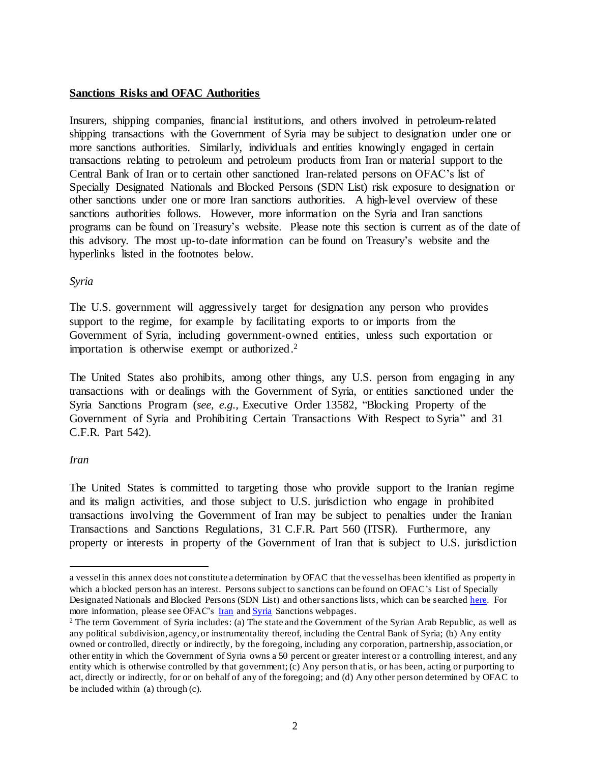### **Sanctions Risks and OFAC Authorities**

Insurers, shipping companies, financial institutions, and others involved in petroleum-related shipping transactions with the Government of Syria may be subject to designation under one or more sanctions authorities. Similarly, individuals and entities knowingly engaged in certain transactions relating to petroleum and petroleum products from Iran or material support to the Central Bank of Iran or to certain other sanctioned Iran-related persons on OFAC's list of Specially Designated Nationals and Blocked Persons (SDN List) risk exposure to designation or other sanctions under one or more Iran sanctions authorities. A high-level overview of these sanctions authorities follows. However, more information on the Syria and Iran sanctions programs can be found on Treasury's website. Please note this section is current as of the date of this advisory. The most up-to-date information can be found on Treasury's website and the hyperlinks listed in the footnotes below.

### *Syria*

The U.S. government will aggressively target for designation any person who provides support to the regime, for example by facilitating exports to or imports from the Government of Syria, including government-owned entities, unless such exportation or importation is otherwise exempt or authorized. 2

The United States also prohibits, among other things, any U.S. person from engaging in any transactions with or dealings with the Government of Syria, or entities sanctioned under the Syria Sanctions Program (*see, e.g.,* Executive Order 13582, "Blocking Property of the Government of Syria and Prohibiting Certain Transactions With Respect to Syria" and 31 C.F.R. Part 542).

### *Iran*

 $\overline{a}$ 

The United States is committed to targeting those who provide support to the Iranian regime and its malign activities, and those subject to U.S. jurisdiction who engage in prohibited transactions involving the Government of Iran may be subject to penalties under the Iranian Transactions and Sanctions Regulations, 31 C.F.R. Part 560 (ITSR). Furthermore, any property or interests in property of the Government of Iran that is subject to U.S. jurisdiction

a vessel in this annex does not constitute a determination by OFAC that the vessel has been identified as property in which a blocked person has an interest. Persons subject to sanctions can be found on OFAC's List of Specially Designated Nationals and Blocked Persons (SDN List) and other sanctions lists, which can be searche[d here.](https://www.treasury.gov/resource-center/sanctions/SDN-List/Pages/default.aspx) For more information, please see OFAC's **Iran** and **Syria** Sanctions webpages.

<sup>&</sup>lt;sup>2</sup> The term Government of Syria includes: (a) The state and the Government of the Syrian Arab Republic, as well as any political subdivision, agency, or instrumentality thereof, including the Central Bank of Syria; (b) Any entity owned or controlled, directly or indirectly, by the foregoing, including any corporation, partnership, association, or other entity in which the Government of Syria owns a 50 percent or greater interest or a controlling interest, and any entity which is otherwise controlled by that government; (c) Any person that is, or has been, acting or purporting to act, directly or indirectly, for or on behalf of any of the foregoing; and (d) Any other person determined by OFAC to be included within (a) through (c).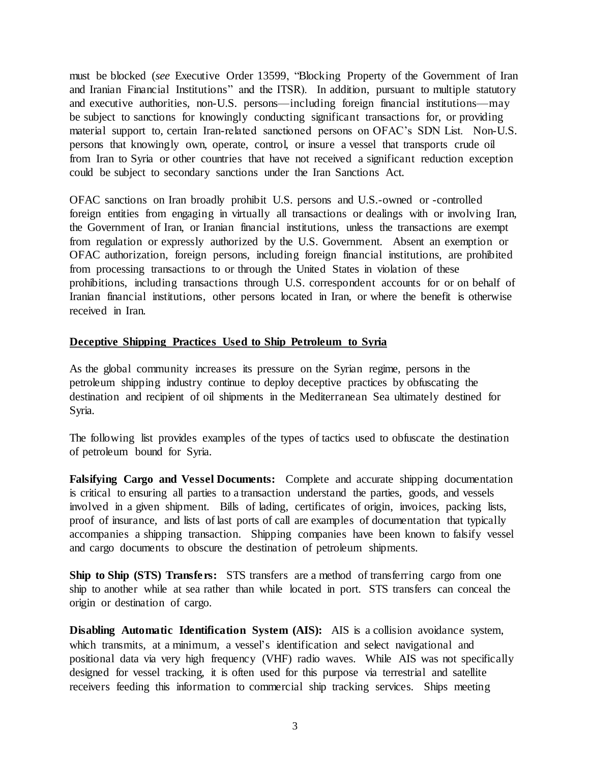must be blocked (*see* Executive Order 13599, "Blocking Property of the Government of Iran and Iranian Financial Institutions" and the ITSR). In addition, pursuant to multiple statutory and executive authorities, non-U.S. persons—including foreign financial institutions—may be subject to sanctions for knowingly conducting significant transactions for, or providing material support to, certain Iran-related sanctioned persons on OFAC's SDN List. Non-U.S. persons that knowingly own, operate, control, or insure a vessel that transports crude oil from Iran to Syria or other countries that have not received a significant reduction exception could be subject to secondary sanctions under the Iran Sanctions Act.

OFAC sanctions on Iran broadly prohibit U.S. persons and U.S.-owned or -controlled foreign entities from engaging in virtually all transactions or dealings with or involving Iran, the Government of Iran, or Iranian financial institutions, unless the transactions are exempt from regulation or expressly authorized by the U.S. Government. Absent an exemption or OFAC authorization, foreign persons, including foreign financial institutions, are prohibited from processing transactions to or through the United States in violation of these prohibitions, including transactions through U.S. correspondent accounts for or on behalf of Iranian financial institutions, other persons located in Iran, or where the benefit is otherwise received in Iran.

#### **Deceptive Shipping Practices Used to Ship Petroleum to Syria**

As the global community increases its pressure on the Syrian regime, persons in the petroleum shipping industry continue to deploy deceptive practices by obfuscating the destination and recipient of oil shipments in the Mediterranean Sea ultimately destined for Syria.

The following list provides examples of the types of tactics used to obfuscate the destination of petroleum bound for Syria.

**Falsifying Cargo and Vessel Documents:** Complete and accurate shipping documentation is critical to ensuring all parties to a transaction understand the parties, goods, and vessels involved in a given shipment. Bills of lading, certificates of origin, invoices, packing lists, proof of insurance, and lists of last ports of call are examples of documentation that typically accompanies a shipping transaction. Shipping companies have been known to falsify vessel and cargo documents to obscure the destination of petroleum shipments.

**Ship to Ship (STS) Transfers:** STS transfers are a method of transferring cargo from one ship to another while at sea rather than while located in port. STS transfers can conceal the origin or destination of cargo.

**Disabling Automatic Identification System (AIS):** AIS is a collision avoidance system, which transmits, at a minimum, a vessel's identification and select navigational and positional data via very high frequency (VHF) radio waves. While AIS was not specifically designed for vessel tracking, it is often used for this purpose via terrestrial and satellite receivers feeding this information to commercial ship tracking services. Ships meeting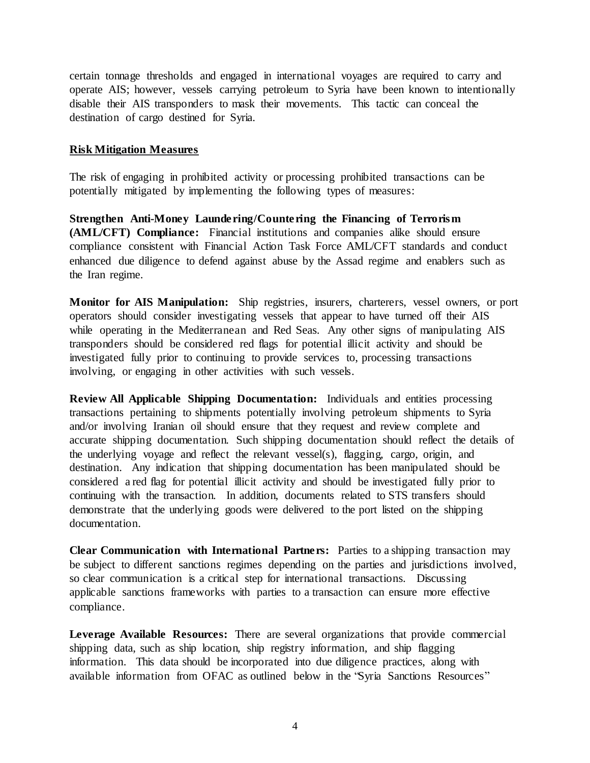certain tonnage thresholds and engaged in international voyages are required to carry and operate AIS; however, vessels carrying petroleum to Syria have been known to intentionally disable their AIS transponders to mask their movements. This tactic can conceal the destination of cargo destined for Syria.

#### **Risk Mitigation Measures**

The risk of engaging in prohibited activity or processing prohibited transactions can be potentially mitigated by implementing the following types of measures:

**Strengthen Anti-Money Laundering/Countering the Financing of Terrorism (AML/CFT) Compliance:** Financial institutions and companies alike should ensure compliance consistent with Financial Action Task Force AML/CFT standards and conduct enhanced due diligence to defend against abuse by the Assad regime and enablers such as the Iran regime.

**Monitor for AIS Manipulation:** Ship registries, insurers, charterers, vessel owners, or port operators should consider investigating vessels that appear to have turned off their AIS while operating in the Mediterranean and Red Seas. Any other signs of manipulating AIS transponders should be considered red flags for potential illicit activity and should be investigated fully prior to continuing to provide services to, processing transactions involving, or engaging in other activities with such vessels.

**Review All Applicable Shipping Documentation:** Individuals and entities processing transactions pertaining to shipments potentially involving petroleum shipments to Syria and/or involving Iranian oil should ensure that they request and review complete and accurate shipping documentation. Such shipping documentation should reflect the details of the underlying voyage and reflect the relevant vessel(s), flagging, cargo, origin, and destination. Any indication that shipping documentation has been manipulated should be considered a red flag for potential illicit activity and should be investigated fully prior to continuing with the transaction. In addition, documents related to STS transfers should demonstrate that the underlying goods were delivered to the port listed on the shipping documentation.

**Clear Communication with International Partners:** Parties to a shipping transaction may be subject to different sanctions regimes depending on the parties and jurisdictions involved, so clear communication is a critical step for international transactions. Discussing applicable sanctions frameworks with parties to a transaction can ensure more effective compliance.

**Leverage Available Resources:** There are several organizations that provide commercial shipping data, such as ship location, ship registry information, and ship flagging information. This data should be incorporated into due diligence practices, along with available information from OFAC as outlined below in the "Syria Sanctions Resources"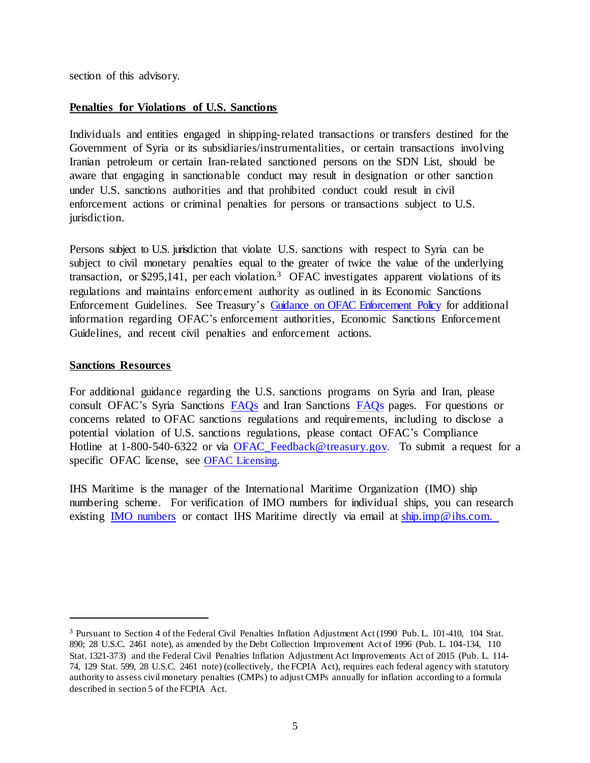section of this advisory.

### **Penalties for Violations of U.S. Sanctions**

Individuals and entities engaged in shipping-related transactions or transfers destined for the Government of Syria or its subsidiaries/instrumentalities, or certain transactions involving Iranian petroleum or certain Iran-related sanctioned persons on the SDN List, should be aware that engaging in sanctionable conduct may result in designation or other sanction under U.S. sanctions authorities and that prohibited conduct could result in civil enforcement actions or criminal penalties for persons or transactions subject to U.S. jurisdiction.

Persons subject to U.S. jurisdiction that violate U.S. sanctions with respect to Syria can be subject to civil monetary penalties equal to the greater of twice the value of the underlying transaction, or \$295,141, per each violation.<sup>3</sup> OFAC investigates apparent violations of its regulations and maintains enforcement authority as outlined in its Economic Sanctions Enforcement Guidelines. See Treasury's [Guidance on OFAC Enforcement Policy](https://www.treasury.gov/resource-center/sanctions/OFAC-Enforcement/Pages/enforcement.aspx) for additional information regarding OFAC's enforcement authorities, Economic Sanctions Enforcement Guidelines, and recent civil penalties and enforcement actions.

### **Sanctions Resources**

 $\overline{\phantom{a}}$ 

For additional guidance regarding the U.S. sanctions programs on Syria and Iran, please consult OFAC's Syria Sanctions [FAQs](https://www.treasury.gov/resource-center/faqs/Sanctions/Pages/faq_other.aspx#syria_whole) and Iran Sanctions [FAQs](https://www.treasury.gov/resource-center/faqs/Sanctions/Pages/faq_iran.aspx) pages. For questions or concerns related to OFAC sanctions regulations and requirements, including to disclose a potential violation of U.S. sanctions regulations, please contact OFAC's Compliance Hotline at 1-800-540-6322 or via [OFAC\\_Feedback@treasury.gov.](mailto:OFAC_Feedback@treasury.gov.) To submit a request for a specific OFAC license, see OFAC Licensing.

IHS Maritime is the manager of the International Maritime Organization (IMO) ship numbering scheme. For verification of IMO numbers for individual ships, you can research existing **IMO** numbers or contact IHS Maritime directly via email at ship.imp@ihs.com.

<sup>3</sup> Pursuant to Section 4 of the Federal Civil Penalties Inflation Adjustment Act (1990 Pub. L. 101-410, 104 Stat. 890; 28 U.S.C. 2461 note), as amended by the Debt Collection Improvement Act of 1996 (Pub. L. 104-134, 110 Stat. 1321-373) and the Federal Civil Penalties Inflation Adjustment Act Improvements Act of 2015 (Pub. L. 114- 74, 129 Stat. 599, 28 U.S.C. 2461 note) (collectively, the FCPIA Act), requires each federal agency with statutory authority to assess civil monetary penalties (CMPs) to adjust CMPs annually for inflation according to a formula described in section 5 of the FCPIA Act.